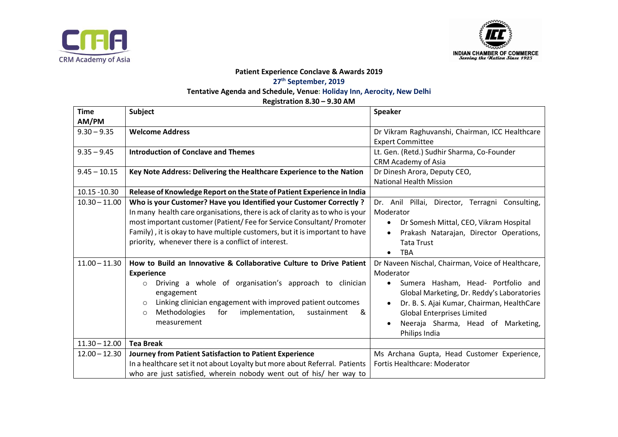



## **Patient Experience Conclave & Awards 2019 27 th September, 2019 Tentative Agenda and Schedule, Venue: Holiday Inn, Aerocity, New Delhi**

**Registration 8.30 – 9.30 AM**

| <b>Time</b>     | <b>Subject</b>                                                               | <b>Speaker</b>                                    |  |  |
|-----------------|------------------------------------------------------------------------------|---------------------------------------------------|--|--|
| AM/PM           |                                                                              |                                                   |  |  |
| $9.30 - 9.35$   | <b>Welcome Address</b>                                                       | Dr Vikram Raghuvanshi, Chairman, ICC Healthcare   |  |  |
|                 |                                                                              | <b>Expert Committee</b>                           |  |  |
| $9.35 - 9.45$   | <b>Introduction of Conclave and Themes</b>                                   | Lt. Gen. (Retd.) Sudhir Sharma, Co-Founder        |  |  |
|                 |                                                                              | CRM Academy of Asia                               |  |  |
| $9.45 - 10.15$  | Key Note Address: Delivering the Healthcare Experience to the Nation         | Dr Dinesh Arora, Deputy CEO,                      |  |  |
|                 |                                                                              | <b>National Health Mission</b>                    |  |  |
| 10.15 - 10.30   | Release of Knowledge Report on the State of Patient Experience in India      |                                                   |  |  |
| $10.30 - 11.00$ | Who is your Customer? Have you Identified your Customer Correctly ?          | Dr. Anil Pillai, Director, Terragni Consulting,   |  |  |
|                 | In many health care organisations, there is ack of clarity as to who is your | Moderator                                         |  |  |
|                 | most important customer (Patient/ Fee for Service Consultant/ Promoter       | Dr Somesh Mittal, CEO, Vikram Hospital            |  |  |
|                 | Family), it is okay to have multiple customers, but it is important to have  | Prakash Natarajan, Director Operations,           |  |  |
|                 | priority, whenever there is a conflict of interest.                          | <b>Tata Trust</b>                                 |  |  |
|                 |                                                                              | <b>TBA</b><br>$\bullet$                           |  |  |
| $11.00 - 11.30$ | How to Build an Innovative & Collaborative Culture to Drive Patient          | Dr Naveen Nischal, Chairman, Voice of Healthcare, |  |  |
|                 | <b>Experience</b>                                                            | Moderator                                         |  |  |
|                 | Driving a whole of organisation's approach to clinician<br>$\circ$           | Sumera Hasham, Head- Portfolio and<br>$\bullet$   |  |  |
|                 | engagement                                                                   | Global Marketing, Dr. Reddy's Laboratories        |  |  |
|                 | Linking clinician engagement with improved patient outcomes<br>$\circ$       | Dr. B. S. Ajai Kumar, Chairman, HealthCare        |  |  |
|                 | implementation, sustainment<br>Methodologies<br>for<br>&<br>$\circ$          | <b>Global Enterprises Limited</b>                 |  |  |
|                 | measurement                                                                  | Neeraja Sharma, Head of Marketing,                |  |  |
|                 |                                                                              | Philips India                                     |  |  |
| $11.30 - 12.00$ | <b>Tea Break</b>                                                             |                                                   |  |  |
| $12.00 - 12.30$ | Journey from Patient Satisfaction to Patient Experience                      | Ms Archana Gupta, Head Customer Experience,       |  |  |
|                 | In a healthcare set it not about Loyalty but more about Referral. Patients   | Fortis Healthcare: Moderator                      |  |  |
|                 | who are just satisfied, wherein nobody went out of his/ her way to           |                                                   |  |  |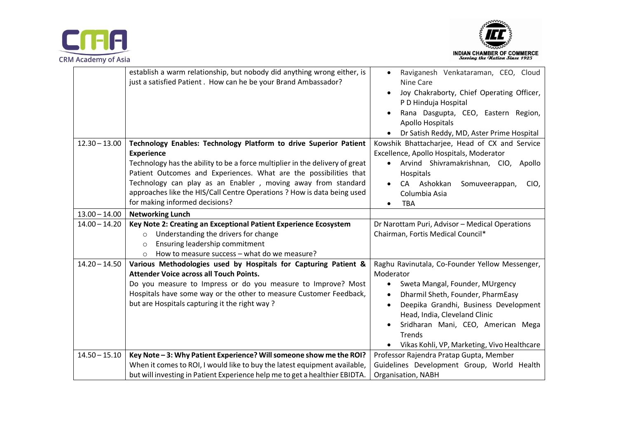



|                 | establish a warm relationship, but nobody did anything wrong either, is<br>just a satisfied Patient. How can he be your Brand Ambassador?                | Raviganesh Venkataraman, CEO, Cloud<br>$\bullet$<br>Nine Care     |  |  |
|-----------------|----------------------------------------------------------------------------------------------------------------------------------------------------------|-------------------------------------------------------------------|--|--|
|                 |                                                                                                                                                          | Joy Chakraborty, Chief Operating Officer,<br>P D Hinduja Hospital |  |  |
|                 |                                                                                                                                                          | Rana Dasgupta, CEO, Eastern Region,<br><b>Apollo Hospitals</b>    |  |  |
|                 |                                                                                                                                                          | Dr Satish Reddy, MD, Aster Prime Hospital                         |  |  |
| $12.30 - 13.00$ | Technology Enables: Technology Platform to drive Superior Patient                                                                                        | Kowshik Bhattacharjee, Head of CX and Service                     |  |  |
|                 | <b>Experience</b>                                                                                                                                        | Excellence, Apollo Hospitals, Moderator                           |  |  |
|                 | Technology has the ability to be a force multiplier in the delivery of great                                                                             | Arvind Shivramakrishnan, CIO, Apollo                              |  |  |
|                 | Patient Outcomes and Experiences. What are the possibilities that                                                                                        | Hospitals                                                         |  |  |
|                 | Technology can play as an Enabler, moving away from standard                                                                                             | CA Ashokkan<br>Somuveerappan,<br>CIO,                             |  |  |
|                 | approaches like the HIS/Call Centre Operations ? How is data being used                                                                                  | Columbia Asia                                                     |  |  |
|                 | for making informed decisions?                                                                                                                           | <b>TBA</b><br>$\bullet$                                           |  |  |
| $13.00 - 14.00$ | <b>Networking Lunch</b>                                                                                                                                  |                                                                   |  |  |
| $14.00 - 14.20$ | Key Note 2: Creating an Exceptional Patient Experience Ecosystem                                                                                         | Dr Narottam Puri, Advisor - Medical Operations                    |  |  |
|                 | Understanding the drivers for change<br>$\Omega$                                                                                                         | Chairman, Fortis Medical Council*                                 |  |  |
|                 |                                                                                                                                                          |                                                                   |  |  |
|                 | Ensuring leadership commitment<br>$\circ$                                                                                                                |                                                                   |  |  |
|                 | How to measure success - what do we measure?<br>$\Omega$                                                                                                 |                                                                   |  |  |
| $14.20 - 14.50$ | Various Methodologies used by Hospitals for Capturing Patient &                                                                                          | Raghu Ravinutala, Co-Founder Yellow Messenger,                    |  |  |
|                 | <b>Attender Voice across all Touch Points.</b>                                                                                                           | Moderator                                                         |  |  |
|                 | Do you measure to Impress or do you measure to Improve? Most                                                                                             | Sweta Mangal, Founder, MUrgency                                   |  |  |
|                 | Hospitals have some way or the other to measure Customer Feedback,                                                                                       | Dharmil Sheth, Founder, PharmEasy<br>$\bullet$                    |  |  |
|                 | but are Hospitals capturing it the right way?                                                                                                            | Deepika Grandhi, Business Development                             |  |  |
|                 |                                                                                                                                                          | Head, India, Cleveland Clinic                                     |  |  |
|                 |                                                                                                                                                          | Sridharan Mani, CEO, American Mega                                |  |  |
|                 |                                                                                                                                                          | <b>Trends</b>                                                     |  |  |
|                 |                                                                                                                                                          | Vikas Kohli, VP, Marketing, Vivo Healthcare                       |  |  |
| $14.50 - 15.10$ | Key Note - 3: Why Patient Experience? Will someone show me the ROI?                                                                                      | Professor Rajendra Pratap Gupta, Member                           |  |  |
|                 | When it comes to ROI, I would like to buy the latest equipment available,<br>but will investing in Patient Experience help me to get a healthier EBIDTA. | Guidelines Development Group, World Health                        |  |  |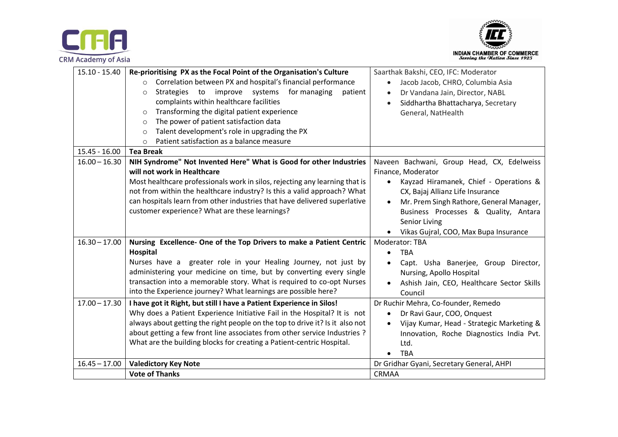



| 15.10 - 15.40   | Re-prioritising PX as the Focal Point of the Organisation's Culture<br>Correlation between PX and hospital's financial performance<br>$\circ$<br>improve systems<br>for managing<br><b>Strategies</b><br>to<br>patient<br>$\circ$<br>complaints within healthcare facilities<br>Transforming the digital patient experience<br>$\Omega$<br>The power of patient satisfaction data<br>$\circ$<br>Talent development's role in upgrading the PX<br>$\circ$<br>Patient satisfaction as a balance measure<br>$\circ$ | Saarthak Bakshi, CEO, IFC: Moderator<br>Jacob Jacob, CHRO, Columbia Asia<br>Dr Vandana Jain, Director, NABL<br>Siddhartha Bhattacharya, Secretary<br>General, NatHealth                                                                                                                                                |  |
|-----------------|------------------------------------------------------------------------------------------------------------------------------------------------------------------------------------------------------------------------------------------------------------------------------------------------------------------------------------------------------------------------------------------------------------------------------------------------------------------------------------------------------------------|------------------------------------------------------------------------------------------------------------------------------------------------------------------------------------------------------------------------------------------------------------------------------------------------------------------------|--|
| $15.45 - 16.00$ | <b>Tea Break</b>                                                                                                                                                                                                                                                                                                                                                                                                                                                                                                 |                                                                                                                                                                                                                                                                                                                        |  |
| $16.00 - 16.30$ | NIH Syndrome" Not Invented Here" What is Good for other Industries<br>will not work in Healthcare<br>Most healthcare professionals work in silos, rejecting any learning that is<br>not from within the healthcare industry? Is this a valid approach? What<br>can hospitals learn from other industries that have delivered superlative<br>customer experience? What are these learnings?                                                                                                                       | Naveen Bachwani, Group Head, CX, Edelweiss<br>Finance, Moderator<br>Kayzad Hiramanek, Chief - Operations &<br>$\bullet$<br>CX, Bajaj Allianz Life Insurance<br>Mr. Prem Singh Rathore, General Manager,<br>$\bullet$<br>Business Processes & Quality, Antara<br>Senior Living<br>Vikas Gujral, COO, Max Bupa Insurance |  |
| $16.30 - 17.00$ | Nursing Excellence- One of the Top Drivers to make a Patient Centric<br>Hospital<br>Nurses have a greater role in your Healing Journey, not just by<br>administering your medicine on time, but by converting every single<br>transaction into a memorable story. What is required to co-opt Nurses<br>into the Experience journey? What learnings are possible here?                                                                                                                                            | <b>Moderator: TBA</b><br><b>TBA</b><br>$\bullet$<br>Capt. Usha Banerjee, Group Director,<br>Nursing, Apollo Hospital<br>Ashish Jain, CEO, Healthcare Sector Skills<br>Council                                                                                                                                          |  |
| $17.00 - 17.30$ | I have got it Right, but still I have a Patient Experience in Silos!<br>Why does a Patient Experience Initiative Fail in the Hospital? It is not<br>always about getting the right people on the top to drive it? Is it also not<br>about getting a few front line associates from other service Industries ?<br>What are the building blocks for creating a Patient-centric Hospital.                                                                                                                           | Dr Ruchir Mehra, Co-founder, Remedo<br>Dr Ravi Gaur, COO, Onquest<br>Vijay Kumar, Head - Strategic Marketing &<br>$\bullet$<br>Innovation, Roche Diagnostics India Pvt.<br>Ltd.<br><b>TBA</b>                                                                                                                          |  |
| $16.45 - 17.00$ | <b>Valedictory Key Note</b>                                                                                                                                                                                                                                                                                                                                                                                                                                                                                      | Dr Gridhar Gyani, Secretary General, AHPI                                                                                                                                                                                                                                                                              |  |
|                 | <b>Vote of Thanks</b>                                                                                                                                                                                                                                                                                                                                                                                                                                                                                            | <b>CRMAA</b>                                                                                                                                                                                                                                                                                                           |  |